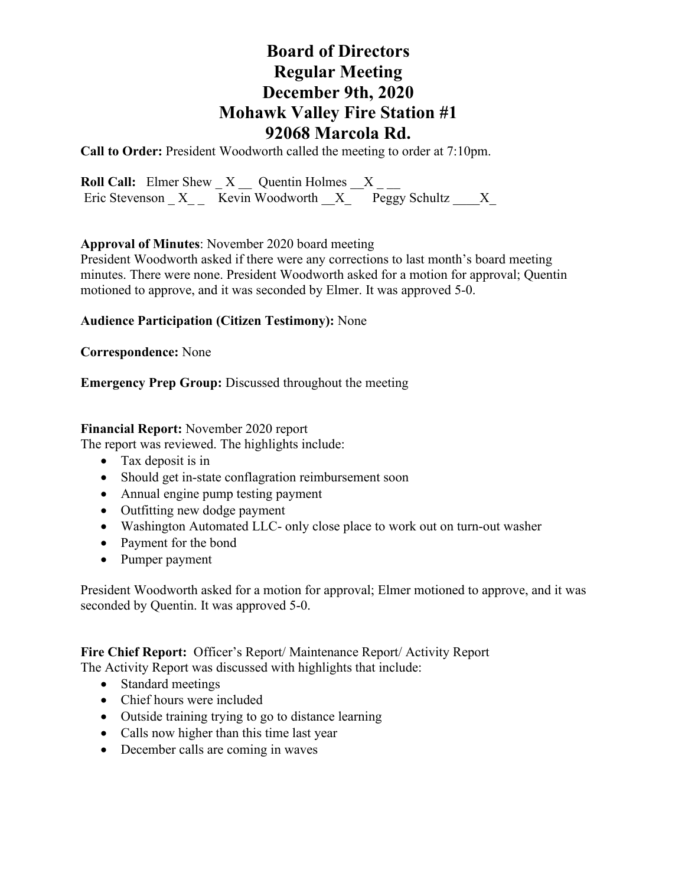# **Board of Directors Regular Meeting December 9th, 2020 Mohawk Valley Fire Station #1 92068 Marcola Rd.**

**Call to Order:** President Woodworth called the meeting to order at 7:10pm.

**Roll Call:** Elmer Shew  $X$   $\_\_$  Quentin Holmes  $\_\_X$   $\_\_$ Eric Stevenson  $X$  Kevin Woodworth  $X$  Peggy Schultz  $X$ 

### **Approval of Minutes**: November 2020 board meeting

President Woodworth asked if there were any corrections to last month's board meeting minutes. There were none. President Woodworth asked for a motion for approval; Quentin motioned to approve, and it was seconded by Elmer. It was approved 5-0.

### **Audience Participation (Citizen Testimony):** None

#### **Correspondence:** None

### **Emergency Prep Group:** Discussed throughout the meeting

#### **Financial Report:** November 2020 report

The report was reviewed. The highlights include:

- Tax deposit is in
- Should get in-state conflagration reimbursement soon
- Annual engine pump testing payment
- Outfitting new dodge payment
- Washington Automated LLC- only close place to work out on turn-out washer
- Payment for the bond
- Pumper payment

President Woodworth asked for a motion for approval; Elmer motioned to approve, and it was seconded by Quentin. It was approved 5-0.

**Fire Chief Report:** Officer's Report/ Maintenance Report/ Activity Report

The Activity Report was discussed with highlights that include:

- Standard meetings
- Chief hours were included
- Outside training trying to go to distance learning
- Calls now higher than this time last year
- December calls are coming in waves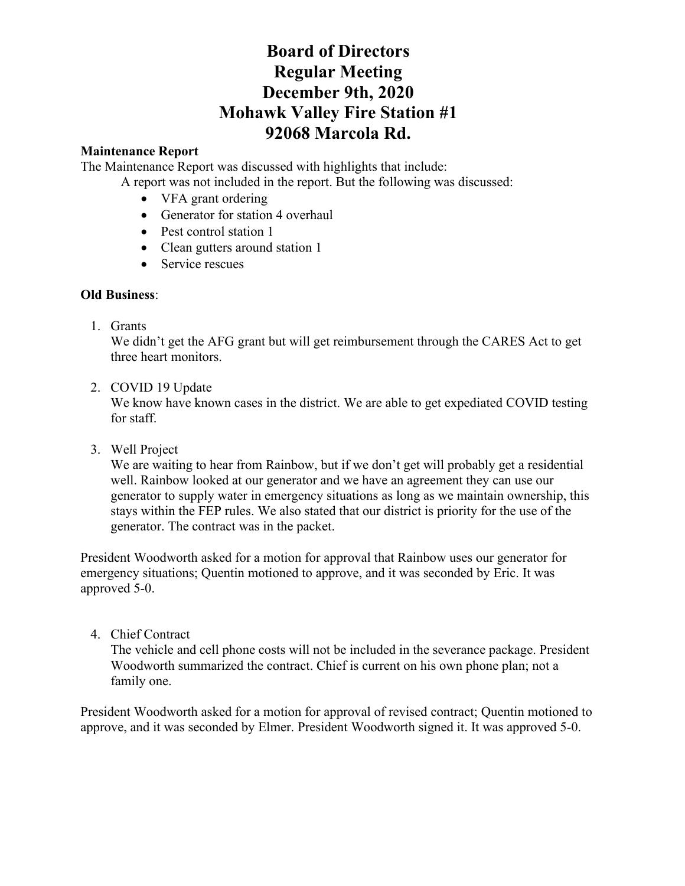# **Board of Directors Regular Meeting December 9th, 2020 Mohawk Valley Fire Station #1 92068 Marcola Rd.**

# **Maintenance Report**

The Maintenance Report was discussed with highlights that include:

A report was not included in the report. But the following was discussed:

- VFA grant ordering
- Generator for station 4 overhaul
- Pest control station 1
- Clean gutters around station 1
- Service rescues

# **Old Business**:

1. Grants

We didn't get the AFG grant but will get reimbursement through the CARES Act to get three heart monitors.

2. COVID 19 Update

We know have known cases in the district. We are able to get expediated COVID testing for staff.

3. Well Project

We are waiting to hear from Rainbow, but if we don't get will probably get a residential well. Rainbow looked at our generator and we have an agreement they can use our generator to supply water in emergency situations as long as we maintain ownership, this stays within the FEP rules. We also stated that our district is priority for the use of the generator. The contract was in the packet.

President Woodworth asked for a motion for approval that Rainbow uses our generator for emergency situations; Quentin motioned to approve, and it was seconded by Eric. It was approved 5-0.

4. Chief Contract

The vehicle and cell phone costs will not be included in the severance package. President Woodworth summarized the contract. Chief is current on his own phone plan; not a family one.

President Woodworth asked for a motion for approval of revised contract; Quentin motioned to approve, and it was seconded by Elmer. President Woodworth signed it. It was approved 5-0.